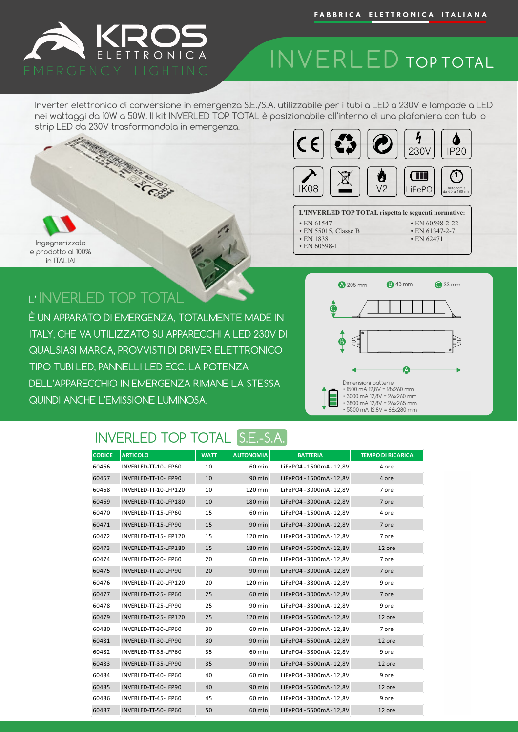

### INVERLED TOP TOTAL

Inverter elettronico di conversione in emergenza S.E./S.A. utilizzabile per i tubi a LED a 230V e lampade a LED nei wattaggi da 10W a 50W. Il kit INVERLED TOP TOTAL è posizionabile all'interno di una plafoniera con tubi o strip LED da 230V trasformandola in emergenza.



#### **L'INVERLED TOP TOTAL rispetta le seguenti normative:** • EN 60598-2-22

- EN 61547
- EN 55015, Classe B
- EN 1838 • EN 60598-1



### L' INVERLED TOP TOTAL

È UN APPARATO DI EMERGENZA, TOTALMENTE MADE IN ITALY, CHE VA UTILIZZATO SU APPARECCHI A LED 230V DI QUALSIASI MARCA, PROVVISTI DI DRIVER ELETTRONICO TIPO TUBI LED, PANNELLI LED ECC. LA POTENZA DELL'APPARECCHIO IN EMERGENZA RIMANE LA STESSA QUINDI ANCHE L'EMISSIONE LUMINOSA.



• EN 61347-2-7 • EN 62471

#### INVERLED TOP TOTAL S.E.-S.A.

| <b>CODICE</b> | <b>ARTICOLO</b>       | <b>WATT</b> | <b>AUTONOMIA</b> | <b>BATTERIA</b>          | <b>TEMPO DI RICARICA</b> |
|---------------|-----------------------|-------------|------------------|--------------------------|--------------------------|
| 60466         | INVERLED-TT-10-LFP60  | 10          | 60 min           | LiFePO4 - 1500mA - 12.8V | 4 ore                    |
| 60467         | INVERLED-TT-10-LFP90  | 10          | 90 min           | LiFePO4 - 1500mA - 12,8V | 4 ore                    |
| 60468         | INVERLED-TT-10-LFP120 | 10          | 120 min          | LiFePO4 - 3000mA - 12,8V | 7 ore                    |
| 60469         | INVERLED-TT-10-LFP180 | 10          | 180 min          | LiFePO4 - 3000mA - 12,8V | 7 ore                    |
| 60470         | INVERLED-TT-15-LFP60  | 15          | 60 min           | LiFePO4 - 1500mA - 12,8V | 4 ore                    |
| 60471         | INVERLED-TT-15-LFP90  | 15          | 90 min           | LiFePO4 - 3000mA - 12,8V | 7 ore                    |
| 60472         | INVERLED-TT-15-LFP120 | 15          | 120 min          | LiFePO4 - 3000mA - 12,8V | 7 ore                    |
| 60473         | INVERLED-TT-15-LFP180 | 15          | 180 min          | LiFePO4 - 5500mA - 12,8V | 12 ore                   |
| 60474         | INVERLED-TT-20-LFP60  | 20          | 60 min           | LiFePO4 - 3000mA - 12,8V | 7 ore                    |
| 60475         | INVERLED-TT-20-LFP90  | 20          | 90 min           | LiFePO4 - 3000mA - 12,8V | 7 ore                    |
| 60476         | INVERLED-TT-20-LFP120 | 20          | 120 min          | LiFePO4 - 3800mA - 12,8V | 9 ore                    |
| 60477         | INVERLED-TT-25-LFP60  | 25          | 60 min           | LiFePO4 - 3000mA - 12,8V | 7 ore                    |
| 60478         | INVERLED-TT-25-LFP90  | 25          | 90 min           | LiFePO4 - 3800mA - 12,8V | 9 ore                    |
| 60479         | INVERLED-TT-25-LFP120 | 25          | 120 min          | LiFePO4 - 5500mA - 12,8V | 12 ore                   |
| 60480         | INVERLED-TT-30-LFP60  | 30          | 60 min           | LiFePO4 - 3000mA - 12,8V | 7 ore                    |
| 60481         | INVERLED-TT-30-LFP90  | 30          | 90 min           | LiFePO4 - 5500mA - 12,8V | 12 ore                   |
| 60482         | INVERLED-TT-35-LFP60  | 35          | 60 min           | LiFePO4 - 3800mA - 12.8V | 9 ore                    |
| 60483         | INVERLED-TT-35-LFP90  | 35          | 90 min           | LiFePO4 - 5500mA - 12,8V | 12 ore                   |
| 60484         | INVERLED-TT-40-LFP60  | 40          | 60 min           | LiFePO4 - 3800mA - 12.8V | 9 ore                    |
| 60485         | INVERLED-TT-40-LFP90  | 40          | 90 min           | LiFePO4 - 5500mA - 12,8V | 12 ore                   |
| 60486         | INVERLED-TT-45-LFP60  | 45          | 60 min           | LiFePO4 - 3800mA - 12,8V | 9 ore                    |
| 60487         | INVERLED-TT-50-LFP60  | 50          | 60 min           | LiFePO4 - 5500mA - 12,8V | 12 ore                   |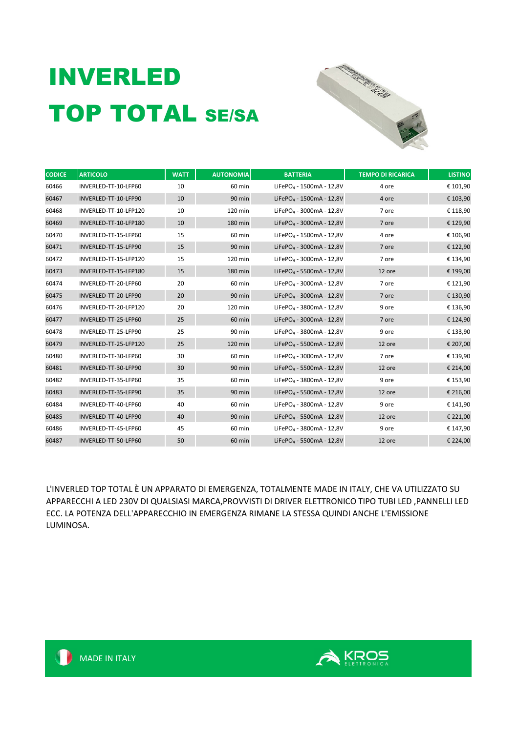# INVERLED TOP TOTAL SE/SA



| <b>CODICE</b> | <b>ARTICOLO</b>       | <b>WATT</b> | <b>AUTONOMIA</b> | <b>BATTERIA</b>                      | <b>TEMPO DI RICARICA</b> | <b>LISTINO</b> |
|---------------|-----------------------|-------------|------------------|--------------------------------------|--------------------------|----------------|
| 60466         | INVERLED-TT-10-LFP60  | 10          | 60 min           | LiFePO <sub>4</sub> - 1500mA - 12,8V | 4 ore                    | € 101,90       |
| 60467         | INVERLED-TT-10-LFP90  | 10          | 90 min           | LiFePO <sub>4</sub> - 1500mA - 12.8V | 4 ore                    | € 103,90       |
| 60468         | INVERLED-TT-10-LFP120 | 10          | 120 min          | LiFePO <sub>4</sub> - 3000mA - 12,8V | 7 ore                    | € 118,90       |
| 60469         | INVERLED-TT-10-LFP180 | 10          | 180 min          | LiFePO <sub>4</sub> - 3000mA - 12,8V | 7 ore                    | € 129,90       |
| 60470         | INVERLED-TT-15-LFP60  | 15          | 60 min           | LiFePO <sub>4</sub> - 1500mA - 12,8V | 4 ore                    | € 106,90       |
| 60471         | INVERLED-TT-15-LFP90  | 15          | 90 min           | LiFePO <sub>4</sub> - 3000mA - 12,8V | 7 ore                    | € 122,90       |
| 60472         | INVERLED-TT-15-LFP120 | 15          | 120 min          | LiFePO <sub>4</sub> - 3000mA - 12.8V | 7 ore                    | € 134,90       |
| 60473         | INVERLED-TT-15-LFP180 | 15          | 180 min          | LiFePO <sub>4</sub> - 5500mA - 12,8V | 12 ore                   | € 199,00       |
| 60474         | INVERLED-TT-20-LFP60  | 20          | 60 min           | LiFePO <sub>4</sub> - 3000mA - 12,8V | 7 ore                    | € 121,90       |
| 60475         | INVERLED-TT-20-LFP90  | 20          | 90 min           | LiFePO <sub>4</sub> - 3000mA - 12,8V | 7 ore                    | € 130,90       |
| 60476         | INVERLED-TT-20-LFP120 | 20          | 120 min          | LiFePO <sub>4</sub> - 3800mA - 12,8V | 9 ore                    | € 136,90       |
| 60477         | INVERLED-TT-25-LFP60  | 25          | $60$ min         | LiFePO <sub>4</sub> - 3000mA - 12,8V | 7 ore                    | € 124,90       |
| 60478         | INVERLED-TT-25-LFP90  | 25          | 90 min           | LiFePO <sub>4</sub> - 3800mA - 12,8V | 9 ore                    | € 133,90       |
| 60479         | INVERLED-TT-25-LFP120 | 25          | 120 min          | LiFePO <sub>4</sub> - 5500mA - 12.8V | 12 ore                   | € 207,00       |
| 60480         | INVERLED-TT-30-LFP60  | 30          | 60 min           | LiFePO <sub>4</sub> - 3000mA - 12,8V | 7 ore                    | € 139,90       |
| 60481         | INVERLED-TT-30-LFP90  | 30          | 90 min           | LiFePO <sub>4</sub> - 5500mA - 12,8V | 12 ore                   | € 214,00       |
| 60482         | INVERLED-TT-35-LFP60  | 35          | 60 min           | LiFePO <sub>4</sub> - 3800mA - 12,8V | 9 ore                    | € 153,90       |
| 60483         | INVERLED-TT-35-LFP90  | 35          | 90 min           | LiFePO <sub>4</sub> - 5500mA - 12,8V | 12 ore                   | € 216,00       |
| 60484         | INVERLED-TT-40-LFP60  | 40          | 60 min           | LiFePO <sub>4</sub> - 3800mA - 12,8V | 9 ore                    | € 141,90       |
| 60485         | INVERLED-TT-40-LFP90  | 40          | 90 min           | LiFePO <sub>4</sub> - 5500mA - 12,8V | 12 ore                   | € 221,00       |
| 60486         | INVERLED-TT-45-LFP60  | 45          | 60 min           | LiFePO <sub>4</sub> - 3800mA - 12.8V | 9 ore                    | € 147,90       |
| 60487         | INVERLED-TT-50-LFP60  | 50          | 60 min           | LiFePO <sub>4</sub> - 5500mA - 12,8V | 12 ore                   | € 224,00       |

L'INVERLED TOP TOTAL È UN APPARATO DI EMERGENZA, TOTALMENTE MADE IN ITALY, CHE VA UTILIZZATO SU APPARECCHI A LED 230V DI QUALSIASI MARCA,PROVVISTI DI DRIVER ELETTRONICO TIPO TUBI LED ,PANNELLI LED ECC. LA POTENZA DELL'APPARECCHIO IN EMERGENZA RIMANE LA STESSA QUINDI ANCHE L'EMISSIONE LUMINOSA.

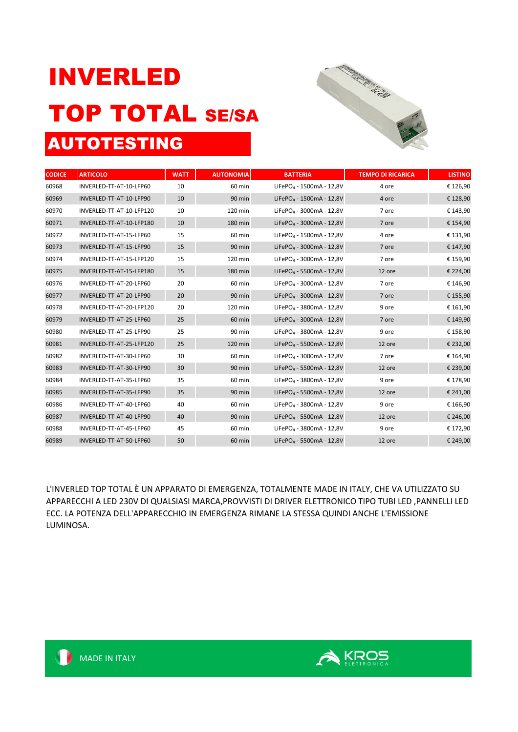## INVERLED TOP TOTAL SE/SA AUTOTESTING



| <b>CODICE</b> | <b>ARTICOLO</b>          | <b>WATT</b> | <b>AUTONOMIA</b> | <b>BATTERIA</b>                      | <b>TEMPO DI RICARICA</b> | <b>LISTINO</b> |
|---------------|--------------------------|-------------|------------------|--------------------------------------|--------------------------|----------------|
| 60968         | INVERLED-TT-AT-10-LFP60  | 10          | 60 min           | LiFePO <sub>4</sub> - 1500mA - 12,8V | 4 ore                    | € 126,90       |
| 60969         | INVERLED-TT-AT-10-LFP90  | 10          | 90 min           | LiFePO <sub>4</sub> - 1500mA - 12,8V | 4 ore                    | € 128,90       |
| 60970         | INVERLED-TT-AT-10-LFP120 | 10          | 120 min          | LiFePO <sub>4</sub> - 3000mA - 12,8V | 7 ore                    | € 143,90       |
| 60971         | INVERLED-TT-AT-10-LFP180 | 10          | 180 min          | LiFePO <sub>4</sub> - 3000mA - 12.8V | 7 ore                    | € 154,90       |
| 60972         | INVERLED-TT-AT-15-LFP60  | 15          | 60 min           | LiFePO <sub>4</sub> - 1500mA - 12,8V | 4 ore                    | € 131,90       |
| 60973         | INVERLED-TT-AT-15-LFP90  | 15          | 90 min           | LiFePO <sub>4</sub> - 3000mA - 12.8V | 7 ore                    | € 147,90       |
| 60974         | INVERLED-TT-AT-15-LFP120 | 15          | 120 min          | LiFePO <sub>4</sub> - 3000mA - 12,8V | 7 ore                    | € 159,90       |
| 60975         | INVERLED-TT-AT-15-LFP180 | 15          | 180 min          | LiFePO <sub>4</sub> - 5500mA - 12,8V | 12 ore                   | € 224,00       |
| 60976         | INVERLED-TT-AT-20-LFP60  | 20          | 60 min           | LiFePO <sub>4</sub> - 3000mA - 12,8V | 7 ore                    | € 146,90       |
| 60977         | INVERLED-TT-AT-20-LFP90  | 20          | $90$ min         | LiFePO <sub>4</sub> - 3000mA - 12,8V | 7 ore                    | € 155,90       |
| 60978         | INVERLED-TT-AT-20-LFP120 | 20          | 120 min          | LiFePO <sub>4</sub> - 3800mA - 12,8V | 9 ore                    | € 161,90       |
| 60979         | INVERLED-TT-AT-25-LFP60  | 25          | 60 min           | LiFePO <sub>4</sub> - 3000mA - 12,8V | 7 ore                    | € 149,90       |
| 60980         | INVERLED-TT-AT-25-LFP90  | 25          | 90 min           | LiFePO <sub>4</sub> - 3800mA - 12,8V | 9 ore                    | € 158,90       |
| 60981         | INVERLED-TT-AT-25-LFP120 | 25          | 120 min          | LiFePO <sub>4</sub> - 5500mA - 12,8V | 12 ore                   | € 232,00       |
| 60982         | INVERLED-TT-AT-30-LFP60  | 30          | 60 min           | LiFePO <sub>4</sub> - 3000mA - 12,8V | 7 ore                    | € 164,90       |
| 60983         | INVERLED-TT-AT-30-LFP90  | 30          | 90 min           | LiFePO <sub>4</sub> - 5500mA - 12,8V | 12 ore                   | € 239,00       |
| 60984         | INVERLED-TT-AT-35-LFP60  | 35          | 60 min           | LiFePO <sub>4</sub> - 3800mA - 12,8V | 9 ore                    | € 178,90       |
| 60985         | INVERLED-TT-AT-35-LFP90  | 35          | $90$ min         | LiFePO <sub>4</sub> - 5500mA - 12,8V | 12 ore                   | € 241,00       |
| 60986         | INVERLED-TT-AT-40-LFP60  | 40          | 60 min           | LiFePO <sub>4</sub> - 3800mA - 12,8V | 9 ore                    | € 166,90       |
| 60987         | INVERLED-TT-AT-40-LFP90  | 40          | 90 min           | LiFePO <sub>4</sub> - 5500mA - 12,8V | 12 ore                   | € 246,00       |
| 60988         | INVERLED-TT-AT-45-LFP60  | 45          | 60 min           | LiFePO <sub>4</sub> - 3800mA - 12,8V | 9 ore                    | € 172,90       |
| 60989         | INVERLED-TT-AT-50-LFP60  | 50          | 60 min           | LiFePO <sub>4</sub> - 5500mA - 12,8V | 12 ore                   | € 249,00       |

L'INVERLED TOP TOTAL È UN APPARATO DI EMERGENZA, TOTALMENTE MADE IN ITALY, CHE VA UTILIZZATO SU APPARECCHI A LED 230V DI QUALSIASI MARCA,PROVVISTI DI DRIVER ELETTRONICO TIPO TUBI LED ,PANNELLI LED ECC. LA POTENZA DELL'APPARECCHIO IN EMERGENZA RIMANE LA STESSA QUINDI ANCHE L'EMISSIONE LUMINOSA.